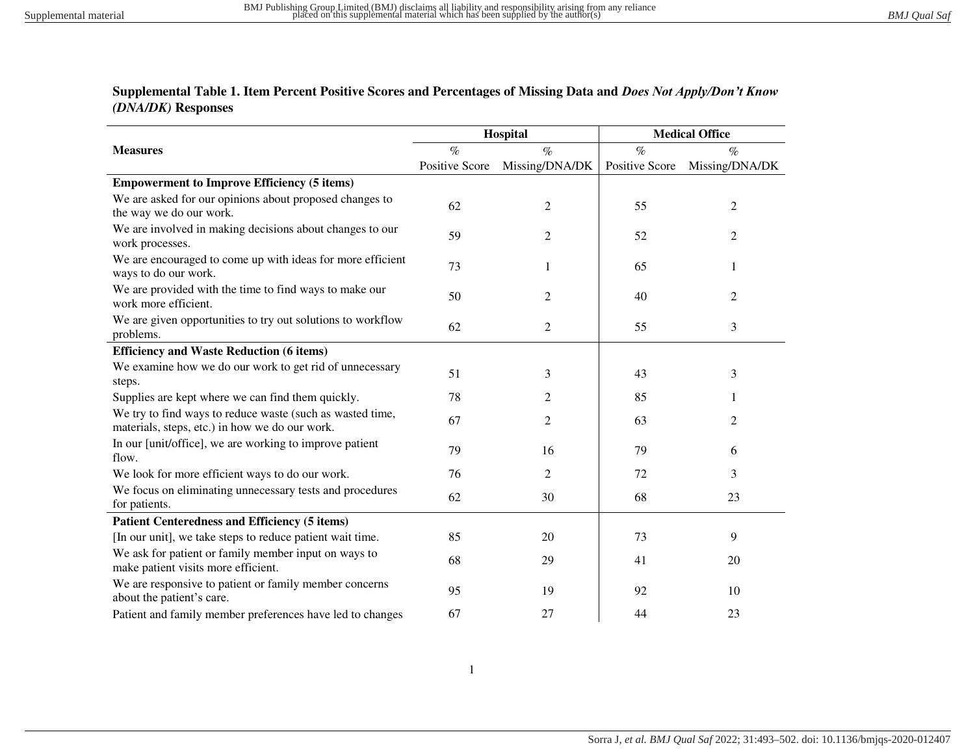## **Supplemental Table 1. Item Percent Positive Scores and Percentages of Missing Data and** *Does Not Apply/Don't Know (DNA/DK)* **Responses**

|                                                                                                             |                       | Hospital       | <b>Medical Office</b> |                |  |
|-------------------------------------------------------------------------------------------------------------|-----------------------|----------------|-----------------------|----------------|--|
| <b>Measures</b>                                                                                             | $\%$                  | $\%$           | $\%$                  | $\%$           |  |
|                                                                                                             | <b>Positive Score</b> | Missing/DNA/DK | <b>Positive Score</b> | Missing/DNA/DK |  |
| <b>Empowerment to Improve Efficiency (5 items)</b>                                                          |                       |                |                       |                |  |
| We are asked for our opinions about proposed changes to                                                     | 62                    | $\overline{c}$ | 55                    | $\overline{2}$ |  |
| the way we do our work.                                                                                     |                       |                |                       |                |  |
| We are involved in making decisions about changes to our<br>work processes.                                 | 59                    | 2              | 52                    | 2              |  |
| We are encouraged to come up with ideas for more efficient<br>ways to do our work.                          | 73                    | 1              | 65                    | 1              |  |
| We are provided with the time to find ways to make our<br>work more efficient.                              | 50                    | $\overline{2}$ | 40                    | $\overline{2}$ |  |
| We are given opportunities to try out solutions to workflow<br>problems.                                    | 62                    | $\overline{c}$ | 55                    | 3              |  |
| <b>Efficiency and Waste Reduction (6 items)</b>                                                             |                       |                |                       |                |  |
| We examine how we do our work to get rid of unnecessary                                                     | 51                    | 3              | 43                    | 3              |  |
| steps.                                                                                                      |                       |                |                       |                |  |
| Supplies are kept where we can find them quickly.                                                           | 78                    | 2              | 85                    |                |  |
| We try to find ways to reduce waste (such as wasted time,<br>materials, steps, etc.) in how we do our work. | 67                    | $\overline{2}$ | 63                    | $\overline{2}$ |  |
| In our [unit/office], we are working to improve patient<br>flow.                                            | 79                    | 16             | 79                    | 6              |  |
| We look for more efficient ways to do our work.                                                             | 76                    | $\overline{c}$ | 72                    | 3              |  |
| We focus on eliminating unnecessary tests and procedures<br>for patients.                                   | 62                    | 30             | 68                    | 23             |  |
| <b>Patient Centeredness and Efficiency (5 items)</b>                                                        |                       |                |                       |                |  |
| [In our unit], we take steps to reduce patient wait time.                                                   | 85                    | 20             | 73                    | 9              |  |
| We ask for patient or family member input on ways to<br>make patient visits more efficient.                 | 68                    | 29             | 41                    | 20             |  |
| We are responsive to patient or family member concerns<br>about the patient's care.                         | 95                    | 19             | 92                    | 10             |  |
| Patient and family member preferences have led to changes                                                   | 67                    | 27             | 44                    | 23             |  |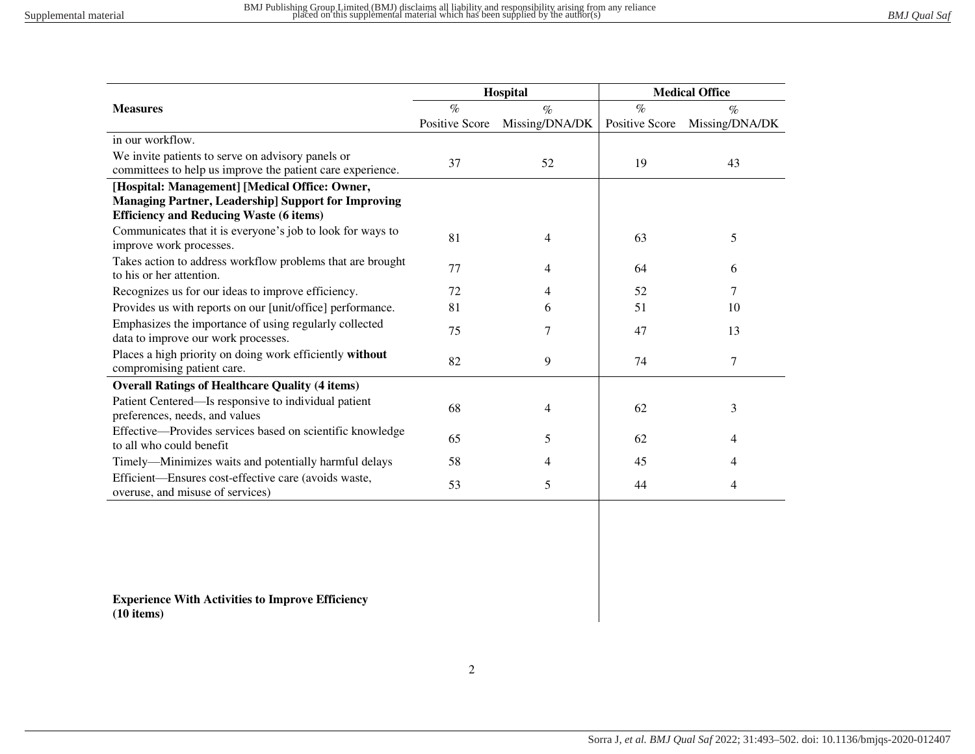|                                                                                          |                | Hospital       | <b>Medical Office</b> |                |  |
|------------------------------------------------------------------------------------------|----------------|----------------|-----------------------|----------------|--|
| <b>Measures</b>                                                                          | $\%$           | $\%$           | $\%$                  | $\%$           |  |
|                                                                                          | Positive Score | Missing/DNA/DK | <b>Positive Score</b> | Missing/DNA/DK |  |
| in our workflow.                                                                         |                |                |                       |                |  |
| We invite patients to serve on advisory panels or                                        | 37             | 52             | 19                    |                |  |
| committees to help us improve the patient care experience.                               |                |                |                       | 43             |  |
| [Hospital: Management] [Medical Office: Owner,                                           |                |                |                       |                |  |
| <b>Managing Partner, Leadership] Support for Improving</b>                               |                |                |                       |                |  |
| <b>Efficiency and Reducing Waste (6 items)</b>                                           |                |                |                       |                |  |
| Communicates that it is everyone's job to look for ways to<br>improve work processes.    | 81             | $\overline{4}$ | 63                    | 5              |  |
| Takes action to address workflow problems that are brought<br>to his or her attention.   | 77             | 4              | 64                    | 6              |  |
| Recognizes us for our ideas to improve efficiency.                                       | 72             | 4              | 52                    | 7              |  |
| Provides us with reports on our [unit/office] performance.                               | 81             | 6              | 51                    | 10             |  |
| Emphasizes the importance of using regularly collected                                   | 75             | 7              | 47                    | 13             |  |
| data to improve our work processes.                                                      |                |                |                       |                |  |
| Places a high priority on doing work efficiently without<br>compromising patient care.   | 82             | 9              | 74                    | $\tau$         |  |
| <b>Overall Ratings of Healthcare Quality (4 items)</b>                                   |                |                |                       |                |  |
| Patient Centered—Is responsive to individual patient                                     | 68             | 4              | 62                    | 3              |  |
| preferences, needs, and values                                                           |                |                |                       |                |  |
| Effective-Provides services based on scientific knowledge                                | 65             | 5              | 62                    | 4              |  |
| to all who could benefit                                                                 |                |                |                       |                |  |
| Timely-Minimizes waits and potentially harmful delays                                    | 58             | 4              | 45                    | 4              |  |
| Efficient-Ensures cost-effective care (avoids waste,<br>overuse, and misuse of services) | 53             | 5              | 44                    | 4              |  |

**Experience With Activities to Improve Efficiency (10 items)**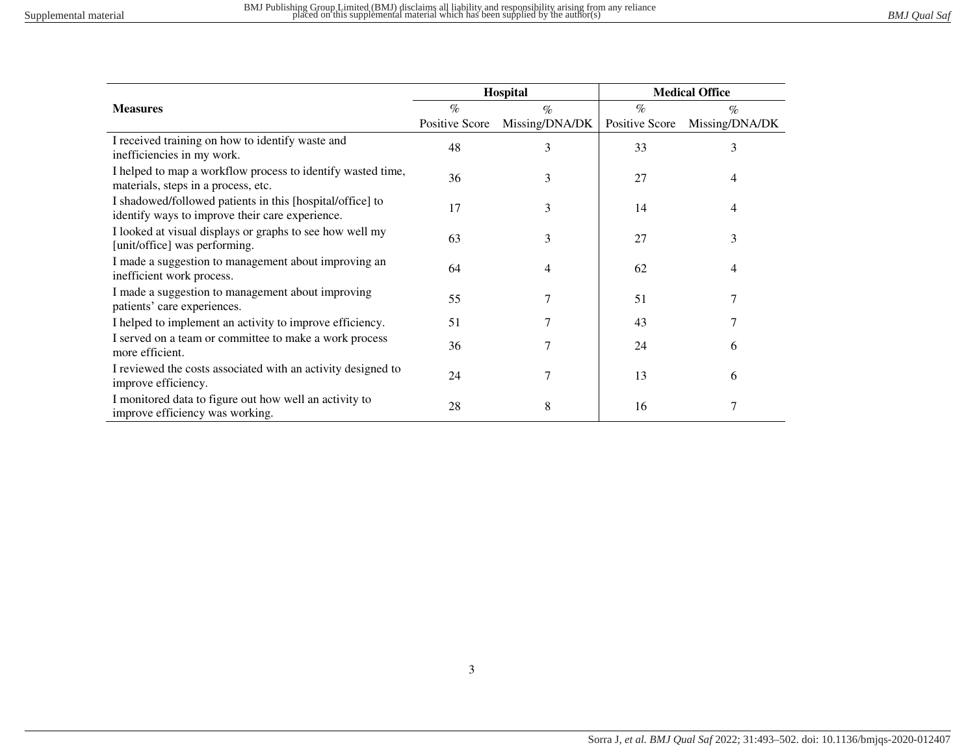|                                                                                                              |                | Hospital       | <b>Medical Office</b> |                |  |
|--------------------------------------------------------------------------------------------------------------|----------------|----------------|-----------------------|----------------|--|
| <b>Measures</b>                                                                                              | $\%$           | $\%$           | $\%$                  | $\%$           |  |
|                                                                                                              | Positive Score | Missing/DNA/DK | Positive Score        | Missing/DNA/DK |  |
| I received training on how to identify waste and<br>inefficiencies in my work.                               | 48             | 3              | 33                    | 3              |  |
| I helped to map a workflow process to identify wasted time,<br>materials, steps in a process, etc.           | 36             | 3              | 27                    | 4              |  |
| I shadowed/followed patients in this [hospital/office] to<br>identify ways to improve their care experience. | 17             | 3              | 14                    | 4              |  |
| I looked at visual displays or graphs to see how well my<br>[unit/office] was performing.                    | 63             | 3              | 27                    | 3              |  |
| I made a suggestion to management about improving an<br>inefficient work process.                            | 64             | 4              | 62                    | 4              |  |
| I made a suggestion to management about improving<br>patients' care experiences.                             | 55             |                | 51                    |                |  |
| I helped to implement an activity to improve efficiency.                                                     | 51             | 7              | 43                    |                |  |
| I served on a team or committee to make a work process<br>more efficient.                                    | 36             | 7              | 24                    | 6              |  |
| I reviewed the costs associated with an activity designed to<br>improve efficiency.                          | 24             | 7              | 13                    | 6              |  |
| I monitored data to figure out how well an activity to<br>improve efficiency was working.                    | 28             | 8              | 16                    | 7              |  |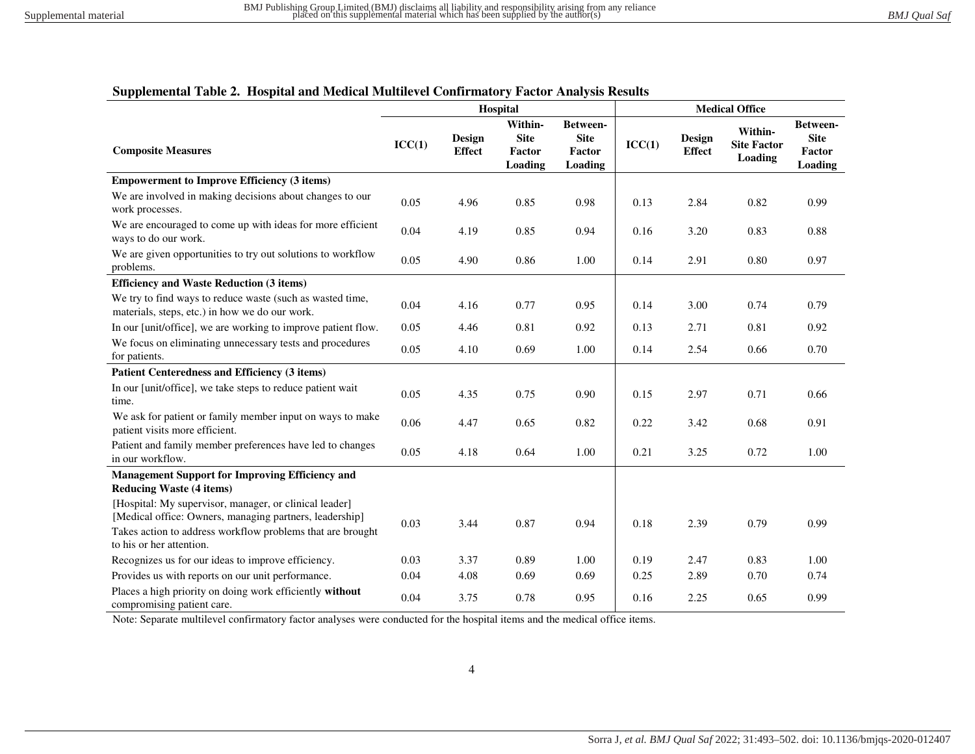## **Supplemental Table 2. Hospital and Medical Multilevel Confirmatory Factor Analysis Results**

|                                                                                                                                                                                                             | Hospital |                         |                                             | <b>Medical Office</b>                        |        |                         |                                                 |                                                     |
|-------------------------------------------------------------------------------------------------------------------------------------------------------------------------------------------------------------|----------|-------------------------|---------------------------------------------|----------------------------------------------|--------|-------------------------|-------------------------------------------------|-----------------------------------------------------|
| <b>Composite Measures</b>                                                                                                                                                                                   | ICC(1)   | Design<br><b>Effect</b> | Within-<br><b>Site</b><br>Factor<br>Loading | Between-<br><b>Site</b><br>Factor<br>Loading | ICC(1) | Design<br><b>Effect</b> | Within-<br><b>Site Factor</b><br><b>Loading</b> | Between-<br><b>Site</b><br><b>Factor</b><br>Loading |
| <b>Empowerment to Improve Efficiency (3 items)</b>                                                                                                                                                          |          |                         |                                             |                                              |        |                         |                                                 |                                                     |
| We are involved in making decisions about changes to our<br>work processes.                                                                                                                                 | 0.05     | 4.96                    | 0.85                                        | 0.98                                         | 0.13   | 2.84                    | 0.82                                            | 0.99                                                |
| We are encouraged to come up with ideas for more efficient<br>ways to do our work.                                                                                                                          | 0.04     | 4.19                    | 0.85                                        | 0.94                                         | 0.16   | 3.20                    | 0.83                                            | 0.88                                                |
| We are given opportunities to try out solutions to workflow<br>problems.                                                                                                                                    | 0.05     | 4.90                    | 0.86                                        | 1.00                                         | 0.14   | 2.91                    | 0.80                                            | 0.97                                                |
| <b>Efficiency and Waste Reduction (3 items)</b>                                                                                                                                                             |          |                         |                                             |                                              |        |                         |                                                 |                                                     |
| We try to find ways to reduce waste (such as wasted time,<br>materials, steps, etc.) in how we do our work.                                                                                                 | 0.04     | 4.16                    | 0.77                                        | 0.95                                         | 0.14   | 3.00                    | 0.74                                            | 0.79                                                |
| In our [unit/office], we are working to improve patient flow.                                                                                                                                               | 0.05     | 4.46                    | 0.81                                        | 0.92                                         | 0.13   | 2.71                    | 0.81                                            | 0.92                                                |
| We focus on eliminating unnecessary tests and procedures<br>for patients.                                                                                                                                   | 0.05     | 4.10                    | 0.69                                        | 1.00                                         | 0.14   | 2.54                    | 0.66                                            | 0.70                                                |
| Patient Centeredness and Efficiency (3 items)                                                                                                                                                               |          |                         |                                             |                                              |        |                         |                                                 |                                                     |
| In our [unit/office], we take steps to reduce patient wait<br>time.                                                                                                                                         | 0.05     | 4.35                    | 0.75                                        | 0.90                                         | 0.15   | 2.97                    | 0.71                                            | 0.66                                                |
| We ask for patient or family member input on ways to make<br>patient visits more efficient.                                                                                                                 | 0.06     | 4.47                    | 0.65                                        | 0.82                                         | 0.22   | 3.42                    | 0.68                                            | 0.91                                                |
| Patient and family member preferences have led to changes<br>in our workflow.                                                                                                                               | 0.05     | 4.18                    | 0.64                                        | 1.00                                         | 0.21   | 3.25                    | 0.72                                            | 1.00                                                |
| <b>Management Support for Improving Efficiency and</b><br><b>Reducing Waste (4 items)</b>                                                                                                                   |          |                         |                                             |                                              |        |                         |                                                 |                                                     |
| [Hospital: My supervisor, manager, or clinical leader]<br>[Medical office: Owners, managing partners, leadership]<br>Takes action to address workflow problems that are brought<br>to his or her attention. | 0.03     | 3.44                    | 0.87                                        | 0.94                                         | 0.18   | 2.39                    | 0.79                                            | 0.99                                                |
| Recognizes us for our ideas to improve efficiency.                                                                                                                                                          | 0.03     | 3.37                    | 0.89                                        | 1.00                                         | 0.19   | 2.47                    | 0.83                                            | 1.00                                                |
| Provides us with reports on our unit performance.                                                                                                                                                           | 0.04     | 4.08                    | 0.69                                        | 0.69                                         | 0.25   | 2.89                    | 0.70                                            | 0.74                                                |
| Places a high priority on doing work efficiently without<br>compromising patient care.                                                                                                                      | 0.04     | 3.75                    | 0.78                                        | 0.95                                         | 0.16   | 2.25                    | 0.65                                            | 0.99                                                |

Note: Separate multilevel confirmatory factor analyses were conducted for the hospital items and the medical office items.